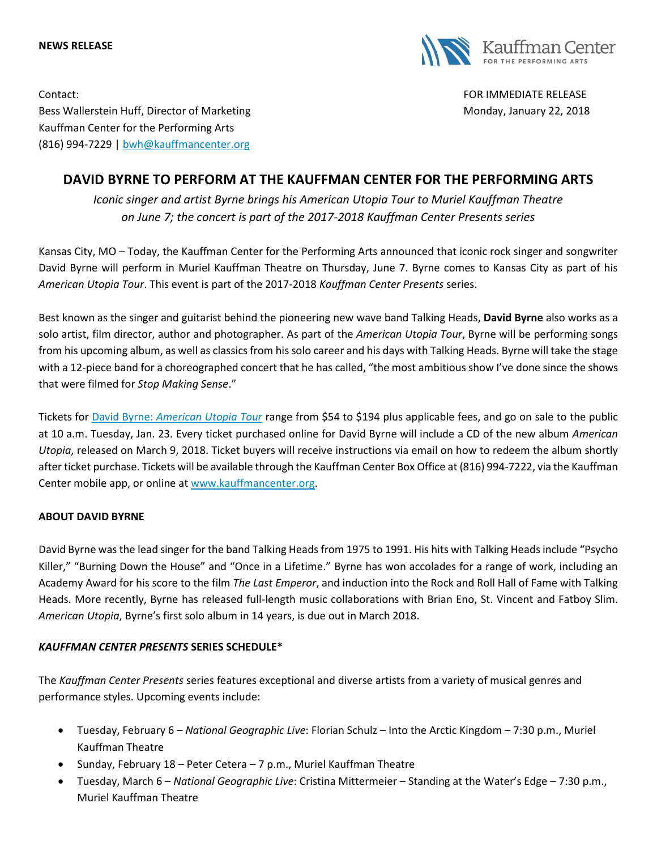



Contact: FOR IMMEDIATE RELEASE Bess Wallerstein Huff, Director of Marketing Monday, January 22, 2018 Kauffman Center for the Performing Arts (816) 994-7229 | [bwh@kauffmancenter.org](mailto:bwh@kauffmancenter.org)

## **DAVID BYRNE TO PERFORM AT THE KAUFFMAN CENTER FOR THE PERFORMING ARTS**

*Iconic singer and artist Byrne brings his American Utopia Tour to Muriel Kauffman Theatre on June 7; the concert is part of the 2017-2018 Kauffman Center Presents series*

Kansas City, MO – Today, the Kauffman Center for the Performing Arts announced that iconic rock singer and songwriter David Byrne will perform in Muriel Kauffman Theatre on Thursday, June 7. Byrne comes to Kansas City as part of his *American Utopia Tour*. This event is part of the 2017-2018 *Kauffman Center Presents* series.

Best known as the singer and guitarist behind the pioneering new wave band Talking Heads, **David Byrne** also works as a solo artist, film director, author and photographer. As part of the *American Utopia Tour*, Byrne will be performing songs from his upcoming album, as well as classics from his solo career and his days with Talking Heads. Byrne will take the stage with a 12-piece band for a choreographed concert that he has called, "the most ambitious show I've done since the shows that were filmed for *Stop Making Sense*."

Tickets for David Byrne: *[American Utopia Tour](http://tickets.kauffmancenter.org/single/PSDetail.aspx?psn=13816)* range from \$54 to \$194 plus applicable fees, and go on sale to the public at 10 a.m. Tuesday, Jan. 23. Every ticket purchased online for David Byrne will include a CD of the new album *American Utopia*, released on March 9, 2018. Ticket buyers will receive instructions via email on how to redeem the album shortly after ticket purchase. Tickets will be available through the Kauffman Center Box Office at (816) 994-7222, via the Kauffman Center mobile app, or online at [www.kauffmancenter.org.](http://www.kauffmancenter.org/)

## **ABOUT DAVID BYRNE**

David Byrne was the lead singer for the band Talking Heads from 1975 to 1991. His hits with Talking Heads include "Psycho Killer," "Burning Down the House" and "Once in a Lifetime." Byrne has won accolades for a range of work, including an Academy Award for his score to the film *The Last Emperor*, and induction into the Rock and Roll Hall of Fame with Talking Heads. More recently, Byrne has released full-length music collaborations with Brian Eno, St. Vincent and Fatboy Slim. *American Utopia*, Byrne's first solo album in 14 years, is due out in March 2018.

## *KAUFFMAN CENTER PRESENTS* **SERIES SCHEDULE\***

The *Kauffman Center Presents* series features exceptional and diverse artists from a variety of musical genres and performance styles. Upcoming events include:

- Tuesday, February 6 *National Geographic Live*: Florian Schulz Into the Arctic Kingdom 7:30 p.m., Muriel Kauffman Theatre
- Sunday, February 18 Peter Cetera 7 p.m., Muriel Kauffman Theatre
- Tuesday, March 6 *National Geographic Live*: Cristina Mittermeier Standing at the Water's Edge 7:30 p.m., Muriel Kauffman Theatre